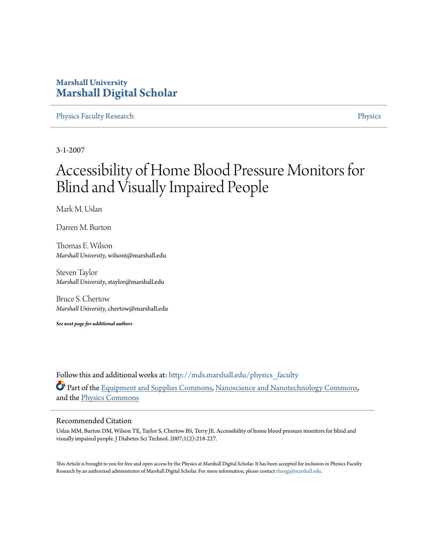# **Marshall University [Marshall Digital Scholar](http://mds.marshall.edu?utm_source=mds.marshall.edu%2Fphysics_faculty%2F7&utm_medium=PDF&utm_campaign=PDFCoverPages)**

[Physics Faculty Research](http://mds.marshall.edu/physics_faculty?utm_source=mds.marshall.edu%2Fphysics_faculty%2F7&utm_medium=PDF&utm_campaign=PDFCoverPages) [Physics](http://mds.marshall.edu/physics?utm_source=mds.marshall.edu%2Fphysics_faculty%2F7&utm_medium=PDF&utm_campaign=PDFCoverPages)

3-1-2007

# Accessibility of Home Blood Pressure Monitors for Blind and Visually Impaired People

Mark M. Uslan

Darren M. Burton

Thomas E. Wilson *Marshall University*, wilsont@marshall.edu

Steven Taylor *Marshall University*, staylor@marshall.edu

Bruce S. Chertow *Marshall University*, chertow@marshall.edu

*See next page for additional authors*

Follow this and additional works at: [http://mds.marshall.edu/physics\\_faculty](http://mds.marshall.edu/physics_faculty?utm_source=mds.marshall.edu%2Fphysics_faculty%2F7&utm_medium=PDF&utm_campaign=PDFCoverPages) Part of the [Equipment and Supplies Commons,](http://network.bepress.com/hgg/discipline/944?utm_source=mds.marshall.edu%2Fphysics_faculty%2F7&utm_medium=PDF&utm_campaign=PDFCoverPages) [Nanoscience and Nanotechnology Commons](http://network.bepress.com/hgg/discipline/313?utm_source=mds.marshall.edu%2Fphysics_faculty%2F7&utm_medium=PDF&utm_campaign=PDFCoverPages), and the [Physics Commons](http://network.bepress.com/hgg/discipline/193?utm_source=mds.marshall.edu%2Fphysics_faculty%2F7&utm_medium=PDF&utm_campaign=PDFCoverPages)

#### Recommended Citation

Uslan MM, Burton DM, Wilson TE, Taylor S, Chertow BS, Terry JE. Accessibility of home blood pressure monitors for blind and visually impaired people. J Diabetes Sci Technol. 2007;1(2):218-227.

This Article is brought to you for free and open access by the Physics at Marshall Digital Scholar. It has been accepted for inclusion in Physics Faculty Research by an authorized administrator of Marshall Digital Scholar. For more information, please contact [zhangj@marshall.edu.](mailto:zhangj@marshall.edu)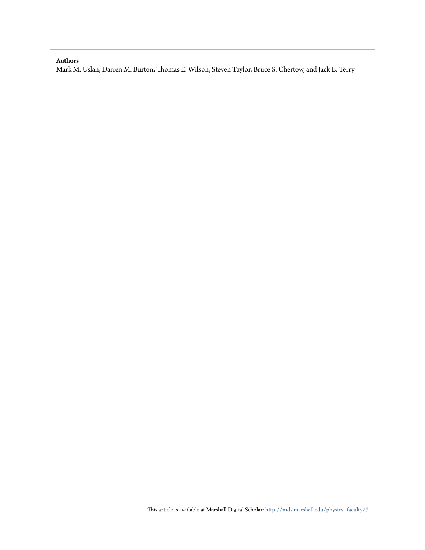#### **Authors**

Mark M. Uslan, Darren M. Burton, Thomas E. Wilson, Steven Taylor, Bruce S. Chertow, and Jack E. Terry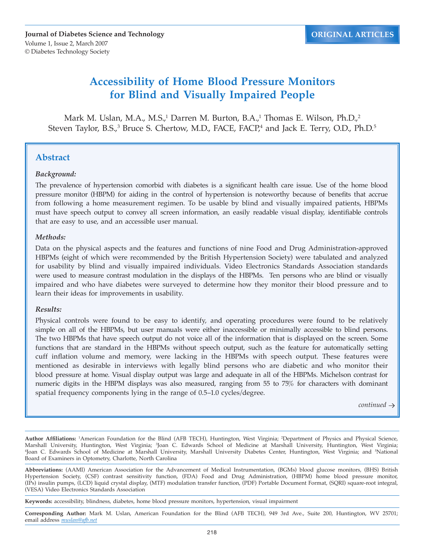**Journal of Diabetes Science and Technology** Volume 1, Issue 2, March 2007 © Diabetes Technology Society

# **Accessibility of Home Blood Pressure Monitors for Blind and Visually Impaired People**

Mark M. Uslan, M.A., M.S.,<sup>1</sup> Darren M. Burton, B.A.,<sup>1</sup> Thomas E. Wilson, Ph.D.,<sup>2</sup> Steven Taylor, B.S.,<sup>3</sup> Bruce S. Chertow, M.D., FACE, FACP,<sup>4</sup> and Jack E. Terry, O.D., Ph.D.<sup>5</sup>

# **Abstract**

### *Background:*

The prevalence of hypertension comorbid with diabetes is a significant health care issue. Use of the home blood pressure monitor (HBPM) for aiding in the control of hypertension is noteworthy because of benefits that accrue from following a home measurement regimen. To be usable by blind and visually impaired patients, HBPMs must have speech output to convey all screen information, an easily readable visual display, identifiable controls that are easy to use, and an accessible user manual.

### *Methods:*

Data on the physical aspects and the features and functions of nine Food and Drug Administration-approved HBPMs (eight of which were recommended by the British Hypertension Society) were tabulated and analyzed for usability by blind and visually impaired individuals. Video Electronics Standards Association standards were used to measure contrast modulation in the displays of the HBPMs. Ten persons who are blind or visually impaired and who have diabetes were surveyed to determine how they monitor their blood pressure and to learn their ideas for improvements in usability.

### *Results:*

Physical controls were found to be easy to identify, and operating procedures were found to be relatively simple on all of the HBPMs, but user manuals were either inaccessible or minimally accessible to blind persons. The two HBPMs that have speech output do not voice all of the information that is displayed on the screen. Some functions that are standard in the HBPMs without speech output, such as the feature for automatically setting cuff inflation volume and memory, were lacking in the HBPMs with speech output. These features were mentioned as desirable in interviews with legally blind persons who are diabetic and who monitor their blood pressure at home. Visual display output was large and adequate in all of the HBPMs. Michelson contrast for numeric digits in the HBPM displays was also measured, ranging from 55 to 75% for characters with dominant spatial frequency components lying in the range of 0.5–1.0 cycles/degree.

 $continued \rightarrow$ 

**Author Affiliations:** <sup>1</sup> American Foundation for the Blind (AFB TECH), Huntington, West Virginia; 2 Department of Physics and Physical Science, Marshall University, Huntington, West Virginia; <sup>3</sup> Joan C. Edwards School of Medicine at Marshall University, Huntington, West Virginia; 4 Joan C. Edwards School of Medicine at Marshall University, Marshall University Diabetes Center, Huntington, West Virginia; and 5 National Board of Examiners in Optometry, Charlotte, North Carolina

**Abbreviations:** (AAMI) American Association for the Advancement of Medical Instrumentation, (BGMs) blood glucose monitors, (BHS) British Hypertension Society, (CSF) contrast sensitivity function, (FDA) Food and Drug Administration, (HBPM) home blood pressure monitor, (IPs) insulin pumps, (LCD) liquid crystal display, (MTF) modulation transfer function, (PDF) Portable Document Format, (SQRI) square-root integral, (VESA) Video Electronics Standards Association

**Keywords:** accessibility, blindness, diabetes, home blood pressure monitors, hypertension, visual impairment

**Corresponding Author:** Mark M. Uslan, American Foundation for the Blind (AFB TECH), 949 3rd Ave., Suite 200, Huntington, WV 25701; email address *muslan@afb.net*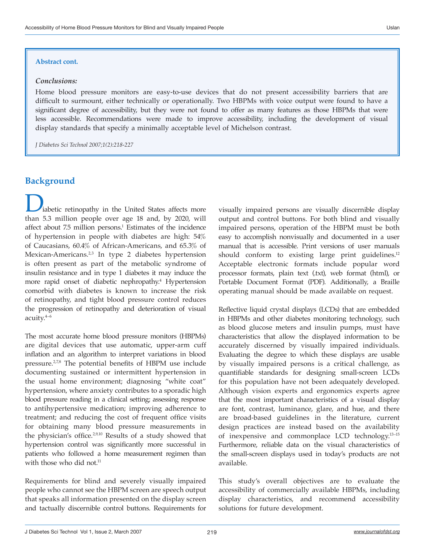#### **Abstract cont.**

#### *Conclusions:*

Home blood pressure monitors are easy-to-use devices that do not present accessibility barriers that are difficult to surmount, either technically or operationally. Two HBPMs with voice output were found to have a significant degree of accessibility, but they were not found to offer as many features as those HBPMs that were less accessible. Recommendations were made to improve accessibility, including the development of visual display standards that specify a minimally acceptable level of Michelson contrast.

*J Diabetes Sci Technol 2007;1(2):218-227*

## **Background**

iabetic retinopathy in the United States affects more than 5.3 million people over age 18 and, by 2020, will affect about 7.5 million persons.<sup>1</sup> Estimates of the incidence of hypertension in people with diabetes are high: 54% of Caucasians, 60.4% of African-Americans, and 65.3% of Mexican-Americans.<sup>2,3</sup> In type 2 diabetes hypertension is often present as part of the metabolic syndrome of insulin resistance and in type 1 diabetes it may induce the more rapid onset of diabetic nephropathy.<sup>4</sup> Hypertension comorbid with diabetes is known to increase the risk of retinopathy, and tight blood pressure control reduces the progression of retinopathy and deterioration of visual acuity.4–6

The most accurate home blood pressure monitors (HBPMs) are digital devices that use automatic, upper-arm cuff inflation and an algorithm to interpret variations in blood pressure.2,7,8 The potential benefits of HBPM use include documenting sustained or intermittent hypertension in the usual home environment; diagnosing "white coat" hypertension, where anxiety contributes to a sporadic high blood pressure reading in a clinical setting; assessing response to antihypertensive medication; improving adherence to treatment; and reducing the cost of frequent office visits for obtaining many blood pressure measurements in the physician's office.2,9,10 Results of a study showed that hypertension control was significantly more successful in patients who followed a home measurement regimen than with those who did not.<sup>11</sup>

Requirements for blind and severely visually impaired people who cannot see the HBPM screen are speech output that speaks all information presented on the display screen and tactually discernible control buttons. Requirements for

visually impaired persons are visually discernible display output and control buttons. For both blind and visually impaired persons, operation of the HBPM must be both easy to accomplish nonvisually and documented in a user manual that is accessible. Print versions of user manuals should conform to existing large print guidelines.<sup>12</sup> Acceptable electronic formats include popular word processor formats, plain text (.txt), web format (html), or Portable Document Format (PDF). Additionally, a Braille operating manual should be made available on request.

Reflective liquid crystal displays (LCDs) that are embedded in HBPMs and other diabetes monitoring technology, such as blood glucose meters and insulin pumps, must have characteristics that allow the displayed information to be accurately discerned by visually impaired individuals. Evaluating the degree to which these displays are usable by visually impaired persons is a critical challenge, as quantifiable standards for designing small-screen LCDs for this population have not been adequately developed. Although vision experts and ergonomics experts agree that the most important characteristics of a visual display are font, contrast, luminance, glare, and hue, and there are broad-based guidelines in the literature, current design practices are instead based on the availability of inexpensive and commonplace LCD technology.13–15 Furthermore, reliable data on the visual characteristics of the small-screen displays used in today's products are not available.

This study's overall objectives are to evaluate the accessibility of commercially available HBPMs, including display characteristics, and recommend accessibility solutions for future development.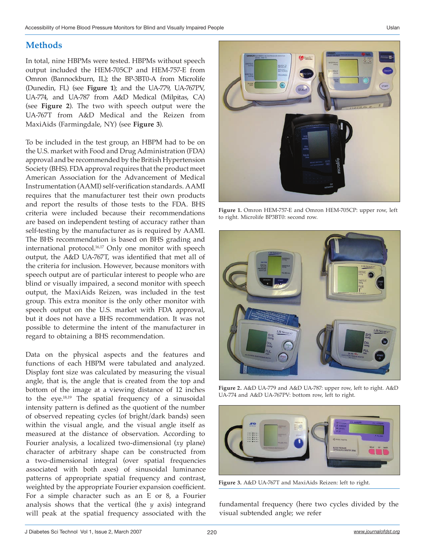# **Methods**

In total, nine HBPMs were tested. HBPMs without speech output included the HEM-705CP and HEM-757-E from Omron (Bannockburn, IL); the BP-3BT0-A from Microlife (Dunedin, FL) (see **Figure 1**); and the UA-779, UA-767PV, UA-774, and UA-787 from A&D Medical (Milpitas, CA) (see **Figure 2**). The two with speech output were the UA-767T from A&D Medical and the Reizen from MaxiAids (Farmingdale, NY) (see **Figure 3**).

To be included in the test group, an HBPM had to be on the U.S. market with Food and Drug Administration (FDA) approval and be recommended by the British Hypertension Society (BHS). FDA approval requires that the product meet American Association for the Advancement of Medical Instrumentation (AAMI) self-verification standards. AAMI requires that the manufacturer test their own products and report the results of those tests to the FDA. BHS criteria were included because their recommendations are based on independent testing of accuracy rather than self-testing by the manufacturer as is required by AAMI. The BHS recommendation is based on BHS grading and international protocol.<sup>16,17</sup> Only one monitor with speech output, the A&D UA-767T, was identified that met all of the criteria for inclusion. However, because monitors with speech output are of particular interest to people who are blind or visually impaired, a second monitor with speech output, the MaxiAids Reizen, was included in the test group. This extra monitor is the only other monitor with speech output on the U.S. market with FDA approval, but it does not have a BHS recommendation. It was not possible to determine the intent of the manufacturer in regard to obtaining a BHS recommendation.

Data on the physical aspects and the features and functions of each HBPM were tabulated and analyzed. Display font size was calculated by measuring the visual angle, that is, the angle that is created from the top and bottom of the image at a viewing distance of 12 inches to the eye.18,19 The spatial frequency of a sinusoidal intensity pattern is defined as the quotient of the number of observed repeating cycles (of bright/dark bands) seen within the visual angle, and the visual angle itself as measured at the distance of observation. According to Fourier analysis, a localized two-dimensional (*xy* plane) character of arbitrary shape can be constructed from a two-dimensional integral (over spatial frequencies associated with both axes) of sinusoidal luminance patterns of appropriate spatial frequency and contrast, weighted by the appropriate Fourier expansion coefficient. For a simple character such as an E or 8, a Fourier analysis shows that the vertical (the *y* axis) integrand will peak at the spatial frequency associated with the



**Figure 1.** Omron HEM-757-E and Omron HEM-705CP: upper row, left to right. Microlife BP3BT0: second row.



**Figure 2.** A&D UA-779 and A&D UA-787: upper row, left to right. A&D UA-774 and A&D UA-767PV: bottom row, left to right.



**Figure 3.** A&D UA-767T and MaxiAids Reizen: left to right.

fundamental frequency (here two cycles divided by the visual subtended angle; we refer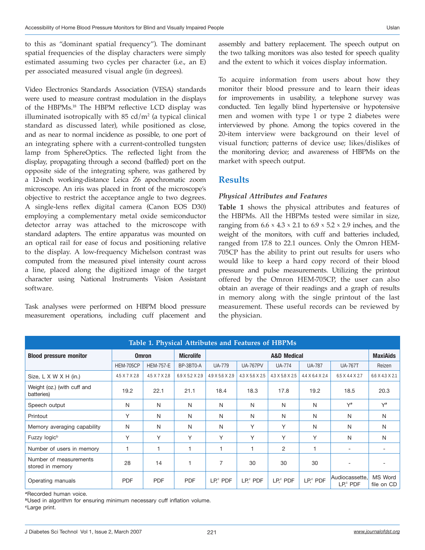to this as "dominant spatial frequency"). The dominant spatial frequencies of the display characters were simply estimated assuming two cycles per character (i.e., an E) per associated measured visual angle (in degrees).

Video Electronics Standards Association (VESA) standards were used to measure contrast modulation in the displays of the HBPMs.18 The HBPM reflective LCD display was illuminated isotropically with  $85 \text{ cd/m}^2$  (a typical clinical standard as discussed later), while positioned as close, and as near to normal incidence as possible, to one port of an integrating sphere with a current-controlled tungsten lamp from SphereOptics. The reflected light from the display, propagating through a second (baffled) port on the opposite side of the integrating sphere, was gathered by a 12-inch working-distance Leica Z6 apochromatic zoom microscope. An iris was placed in front of the microscope's objective to restrict the acceptance angle to two degrees. A single-lens reflex digital camera (Canon EOS D30) employing a complementary metal oxide semiconductor detector array was attached to the microscope with standard adapters. The entire apparatus was mounted on an optical rail for ease of focus and positioning relative to the display. A low-frequency Michelson contrast was computed from the measured pixel intensity count across a line, placed along the digitized image of the target character using National Instruments Vision Assistant software.

Task analyses were performed on HBPM blood pressure measurement operations, including cuff placement and assembly and battery replacement. The speech output on the two talking monitors was also tested for speech quality and the extent to which it voices display information.

To acquire information from users about how they monitor their blood pressure and to learn their ideas for improvements in usability, a telephone survey was conducted. Ten legally blind hypertensive or hypotensive men and women with type 1 or type 2 diabetes were interviewed by phone. Among the topics covered in the 20-item interview were background on their level of visual function; patterns of device use; likes/dislikes of the monitoring device; and awareness of HBPMs on the market with speech output.

## **Results**

## *Physical Attributes and Features*

**Table 1** shows the physical attributes and features of the HBPMs. All the HBPMs tested were similar in size, ranging from  $6.6 \times 4.3 \times 2.1$  to  $6.9 \times 5.2 \times 2.9$  inches, and the weight of the monitors, with cuff and batteries included, ranged from 17.8 to 22.1 ounces. Only the Omron HEM-705CP has the ability to print out results for users who would like to keep a hard copy record of their blood pressure and pulse measurements. Utilizing the printout offered by the Omron HEM-705CP, the user can also obtain an average of their readings and a graph of results in memory along with the single printout of the last measurement. These useful records can be reviewed by the physician.

| Table 1. Physical Attributes and Features of HBPMs |                  |                  |                  |                        |                 |                 |                 |                             |                       |  |  |  |
|----------------------------------------------------|------------------|------------------|------------------|------------------------|-----------------|-----------------|-----------------|-----------------------------|-----------------------|--|--|--|
| <b>Blood pressure monitor</b>                      | <b>Omron</b>     |                  | <b>Microlife</b> | <b>A&amp;D Medical</b> |                 |                 |                 |                             | <b>MaxiAids</b>       |  |  |  |
|                                                    | <b>HEM-705CP</b> | <b>HEM-757-E</b> | BP-3BT0-A        | <b>UA-779</b>          | <b>UA-767PV</b> | <b>UA-774</b>   | <b>UA-787</b>   | <b>UA-767T</b>              | Reizen                |  |  |  |
| Size, $L \times W \times H$ (in.)                  | 4.5 X 7 X 2.8    | 4.5 X 7 X 2.8    | 6.9 X 5.2 X 2.9  | 4.9 X 5.6 X 2.9        | 4.3 X 5.6 X 2.5 | 4.3 X 5.8 X 2.5 | 4.4 X 6.4 X 2.4 | 6.5 X 4.4 X 2.7             | 6.6 X 4.3 X 2.1       |  |  |  |
| Weight (oz.) (with cuff and<br>batteries)          | 19.2             | 22.1             | 21.1             | 18.4                   | 18.3            | 17.8            | 19.2            | 18.5                        | 20.3                  |  |  |  |
| Speech output                                      | N                | N                | N                | N                      | N               | N               | N               | $Y^a$                       | $Y^a$                 |  |  |  |
| Printout                                           | Y                | N                | N                | N                      | N               | N               | N               | N                           | N                     |  |  |  |
| Memory averaging capability                        | N                | N                | N                | N                      | Υ               | Υ               | N               | N                           | N                     |  |  |  |
| Fuzzy logic <sup>b</sup>                           | Υ                | Υ                | Υ                | Υ                      | Υ               | Υ               | Υ               | N                           | N                     |  |  |  |
| Number of users in memory                          |                  |                  |                  |                        |                 | $\overline{c}$  | 1               | $\overline{\phantom{a}}$    |                       |  |  |  |
| Number of measurements<br>stored in memory         | 28               | 14               | $\overline{1}$   | 7                      | 30              | 30              | 30              |                             |                       |  |  |  |
| Operating manuals                                  | <b>PDF</b>       | <b>PDF</b>       | <b>PDF</b>       | $LPc$ PDF              | $LPc$ PDF       | $LPc$ PDF       | $LP,^c$ PDF     | Audiocassette.<br>$LPc$ PDF | MS Word<br>file on CD |  |  |  |

*<sup>a</sup>*Recorded human voice.

*<sup>b</sup>*Used in algorithm for ensuring minimum necessary cuff inflation volume.

*c*Large print.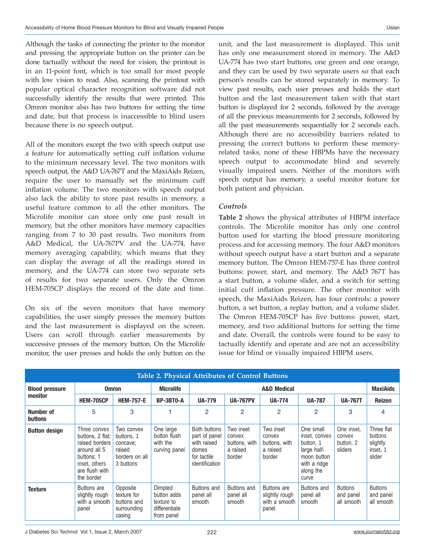Although the tasks of connecting the printer to the monitor and pressing the appropriate button on the printer can be done tactually without the need for vision, the printout is in an 11-point font, which is too small for most people with low vision to read. Also, scanning the printout with popular optical character recognition software did not successfully identify the results that were printed. This Omron monitor also has two buttons for setting the time and date, but that process is inaccessible to blind users because there is no speech output.

All of the monitors except the two with speech output use a feature for automatically setting cuff inflation volume to the minimum necessary level. The two monitors with speech output, the A&D UA-767T and the MaxiAids Reizen, require the user to manually set the minimum cuff inflation volume. The two monitors with speech output also lack the ability to store past results in memory, a useful feature common to all the other monitors. The Microlife monitor can store only one past result in memory, but the other monitors have memory capacities ranging from 7 to 30 past results. Two monitors from A&D Medical, the UA-767PV and the UA-774, have memory averaging capability, which means that they can display the average of all the readings stored in memory, and the UA-774 can store two separate sets of results for two separate users. Only the Omron HEM-705CP displays the record of the date and time.

On six of the seven monitors that have memory capabilities, the user simply presses the memory button and the last measurement is displayed on the screen. Users can scroll through earlier measurements by successive presses of the memory button. On the Microlife monitor, the user presses and holds the only button on the unit, and the last measurement is displayed. This unit has only one measurement stored in memory. The A&D UA-774 has two start buttons, one green and one orange, and they can be used by two separate users so that each person's results can be stored separately in memory. To view past results, each user presses and holds the start button and the last measurement taken with that start button is displayed for 2 seconds, followed by the average of all the previous measurements for 2 seconds, followed by all the past measurements sequentially for 2 seconds each. Although there are no accessibility barriers related to pressing the correct buttons to perform these memoryrelated tasks, none of these HBPMs have the necessary speech output to accommodate blind and severely visually impaired users. Neither of the monitors with speech output has memory, a useful monitor feature for both patient and physician.

### *Controls*

**Table 2** shows the physical attributes of HBPM interface controls. The Microlife monitor has only one control button used for starting the blood pressure monitoring process and for accessing memory. The four A&D monitors without speech output have a start button and a separate memory button. The Omron HEM-757-E has three control buttons: power, start, and memory. The A&D 767T has a start button, a volume slider, and a switch for setting initial cuff inflation pressure. The other monitor with speech, the MaxiAids Reizen, has four controls: a power button, a set button, a replay button, and a volume slider. The Omron HEM-705CP has five buttons: power, start, memory, and two additional buttons for setting the time and date. Overall, the controls were found to be easy to tactually identify and operate and are not an accessibility issue for blind or visually impaired HBPM users.

| Table 2. Physical Attributes of Control Buttons |                                                                                                                                   |                                                                               |                                                                     |                                                                                        |                                                            |                                                            |                                                                                                             |                                              |                                                         |  |  |
|-------------------------------------------------|-----------------------------------------------------------------------------------------------------------------------------------|-------------------------------------------------------------------------------|---------------------------------------------------------------------|----------------------------------------------------------------------------------------|------------------------------------------------------------|------------------------------------------------------------|-------------------------------------------------------------------------------------------------------------|----------------------------------------------|---------------------------------------------------------|--|--|
| <b>Blood pressure</b><br>monitor                |                                                                                                                                   | <b>Omron</b>                                                                  | <b>Microlife</b>                                                    | <b>A&amp;D Medical</b>                                                                 |                                                            |                                                            |                                                                                                             |                                              | <b>MaxiAids</b>                                         |  |  |
|                                                 | <b>HEM-705CP</b>                                                                                                                  | <b>HEM-757-E</b>                                                              | BP-3BT0-A                                                           | <b>UA-779</b>                                                                          | <b>UA-767PV</b>                                            | <b>UA-774</b>                                              | <b>UA-787</b>                                                                                               | <b>UA-767T</b>                               | <b>Reizen</b>                                           |  |  |
| Number of<br><b>buttons</b>                     | 5                                                                                                                                 | 3                                                                             |                                                                     | 2                                                                                      | 2                                                          | 2                                                          | 2                                                                                                           | 3                                            | 4                                                       |  |  |
| <b>Button design</b>                            | Three convex<br>buttons, 2 flat;<br>raised borders<br>around all 5<br>buttons: 1<br>inset, others<br>are flush with<br>the border | Two convex<br>buttons, 1<br>concave:<br>raised<br>borders on all<br>3 buttons | One large<br>button flush<br>with the<br>curving panel              | Both buttons<br>part of panel<br>with raised<br>domes<br>for tactile<br>identification | Two inset<br>convex<br>buttons, with<br>a raised<br>border | Two inset<br>convex<br>buttons, with<br>a raised<br>border | One small<br>inset, convex<br>button, 1<br>large half-<br>moon button<br>with a ridge<br>along the<br>curve | One inset.<br>convex<br>button, 2<br>sliders | Three flat<br>buttons<br>slightly<br>inset, 1<br>slider |  |  |
| <b>Texture</b>                                  | Buttons are<br>slightly rough<br>with a smooth<br>panel                                                                           | Opposite<br>texture for<br>buttons and<br>surrounding<br>casing               | Dimpled<br>button adds<br>texture to<br>differentiate<br>from panel | Buttons and<br>panel all<br>smooth                                                     | Buttons and<br>panel all<br>smooth                         | Buttons are<br>slightly rough<br>with a smooth<br>panel    | Buttons and<br>panel all<br>smooth                                                                          | <b>Buttons</b><br>and panel<br>all smooth    | <b>Buttons</b><br>and panel<br>all smooth               |  |  |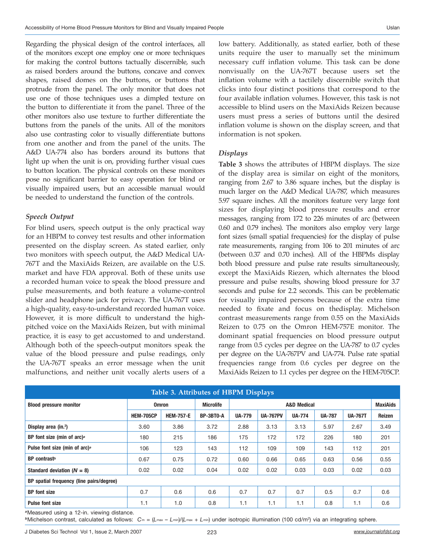Regarding the physical design of the control interfaces, all of the monitors except one employ one or more techniques for making the control buttons tactually discernible, such as raised borders around the buttons, concave and convex shapes, raised domes on the buttons, or buttons that protrude from the panel. The only monitor that does not use one of those techniques uses a dimpled texture on the button to differentiate it from the panel. Three of the other monitors also use texture to further differentiate the buttons from the panels of the units. All of the monitors also use contrasting color to visually differentiate buttons from one another and from the panel of the units. The A&D UA-774 also has borders around its buttons that light up when the unit is on, providing further visual cues to button location. The physical controls on these monitors pose no significant barrier to easy operation for blind or visually impaired users, but an accessible manual would be needed to understand the function of the controls.

## *Speech Output*

For blind users, speech output is the only practical way for an HBPM to convey test results and other information presented on the display screen. As stated earlier, only two monitors with speech output, the A&D Medical UA-767T and the MaxiAids Reizen, are available on the U.S. market and have FDA approval. Both of these units use a recorded human voice to speak the blood pressure and pulse measurements, and both feature a volume-control slider and headphone jack for privacy. The UA-767T uses a high-quality, easy-to-understand recorded human voice. However, it is more difficult to understand the highpitched voice on the MaxiAids Reizen, but with minimal practice, it is easy to get accustomed to and understand. Although both of the speech-output monitors speak the value of the blood pressure and pulse readings, only the UA-767T speaks an error message when the unit malfunctions, and neither unit vocally alerts users of a

low battery. Additionally, as stated earlier, both of these units require the user to manually set the minimum necessary cuff inflation volume. This task can be done nonvisually on the UA-767T because users set the inflation volume with a tactilely discernible switch that clicks into four distinct positions that correspond to the four available inflation volumes. However, this task is not accessible to blind users on the MaxiAids Reizen because users must press a series of buttons until the desired inflation volume is shown on the display screen, and that information is not spoken.

## *Displays*

**Table 3** shows the attributes of HBPM displays. The size of the display area is similar on eight of the monitors, ranging from 2.67 to 3.86 square inches, but the display is much larger on the A&D Medical UA-787, which measures 5.97 square inches. All the monitors feature very large font sizes for displaying blood pressure results and error messages, ranging from 172 to 226 minutes of arc (between 0.60 and 0.79 inches). The monitors also employ very large font sizes (small spatial frequencies) for the display of pulse rate measurements, ranging from 106 to 201 minutes of arc (between 0.37 and 0.70 inches). All of the HBPMs display both blood pressure and pulse rate results simultaneously, except the MaxiAids Riezen, which alternates the blood pressure and pulse results, showing blood pressure for 3.7 seconds and pulse for 2.2 seconds. This can be problematic for visually impaired persons because of the extra time needed to fixate and focus on thedisplay. Michelson contrast measurements range from 0.55 on the MaxiAids Reizen to 0.75 on the Omron HEM-757E monitor. The dominant spatial frequencies on blood pressure output range from 0.5 cycles per degree on the UA-787 to 0.7 cycles per degree on the UA-767PV and UA-774. Pulse rate spatial frequencies range from 0.6 cycles per degree on the MaxiAids Reizen to 1.1 cycles per degree on the HEM-705CP.

| <b>Table 3. Attributes of HBPM Displays</b> |                  |                  |                  |                        |                 |               |               |                 |        |  |  |
|---------------------------------------------|------------------|------------------|------------------|------------------------|-----------------|---------------|---------------|-----------------|--------|--|--|
| <b>Blood pressure monitor</b>               | <b>Omron</b>     |                  | <b>Microlife</b> | <b>A&amp;D Medical</b> |                 |               |               | <b>MaxiAids</b> |        |  |  |
|                                             | <b>HEM-705CP</b> | <b>HEM-757-E</b> | BP-3BT0-A        | <b>UA-779</b>          | <b>UA-767PV</b> | <b>UA-774</b> | <b>UA-787</b> | <b>UA-767T</b>  | Reizen |  |  |
| Display area (in. <sup>2</sup> )            | 3.60             | 3.86             | 3.72             | 2.88                   | 3.13            | 3.13          | 5.97          | 2.67            | 3.49   |  |  |
| BP font size (min of arc) <sup>a</sup>      | 180              | 215              | 186              | 175                    | 172             | 172           | 226           | 180             | 201    |  |  |
| Pulse font size (min of arc) <sup>a</sup>   | 106              | 123              | 143              | 112                    | 109             | 109           | 143           | 112             | 201    |  |  |
| BP contrast <sup>b</sup>                    | 0.67             | 0.75             | 0.72             | 0.60                   | 0.66            | 0.65          | 0.63          | 0.56            | 0.55   |  |  |
| Standard deviation $(N = 8)$                | 0.02             | 0.02             | 0.04             | 0.02                   | 0.02            | 0.03          | 0.03          | 0.02            | 0.03   |  |  |
| BP spatial frequency (line pairs/degree)    |                  |                  |                  |                        |                 |               |               |                 |        |  |  |
| <b>BP</b> font size                         | 0.7              | 0.6              | 0.6              | 0.7                    | 0.7             | 0.7           | 0.5           | 0.7             | 0.6    |  |  |
| <b>Pulse font size</b>                      | 1.1              | 1.0              | 0.8              | 1.1                    | 1.1             | 1.1           | 0.8           | 1.1             | 0.6    |  |  |

*<sup>a</sup>*Measured using a 12-in. viewing distance.

*<sup>b</sup>*Michelson contrast, calculated as follows: *C*m = (*L*max – *L*min)/(*L*max + *L*min) under isotropic illumination (100 cd/m2 ) via an integrating sphere.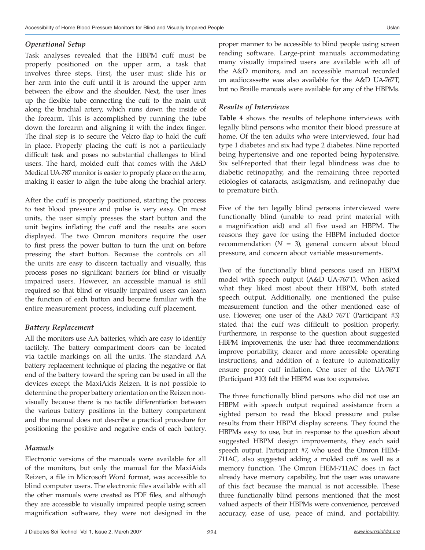#### *Operational Setup*

Task analyses revealed that the HBPM cuff must be properly positioned on the upper arm, a task that involves three steps. First, the user must slide his or her arm into the cuff until it is around the upper arm between the elbow and the shoulder. Next, the user lines up the flexible tube connecting the cuff to the main unit along the brachial artery, which runs down the inside of the forearm. This is accomplished by running the tube down the forearm and aligning it with the index finger. The final step is to secure the Velcro flap to hold the cuff in place. Properly placing the cuff is not a particularly difficult task and poses no substantial challenges to blind users. The hard, molded cuff that comes with the A&D Medical UA-787 monitor is easier to properly place on the arm, making it easier to align the tube along the brachial artery.

After the cuff is properly positioned, starting the process to test blood pressure and pulse is very easy. On most units, the user simply presses the start button and the unit begins inflating the cuff and the results are soon displayed. The two Omron monitors require the user to first press the power button to turn the unit on before pressing the start button. Because the controls on all the units are easy to discern tactually and visually, this process poses no significant barriers for blind or visually impaired users. However, an accessible manual is still required so that blind or visually impaired users can learn the function of each button and become familiar with the entire measurement process, including cuff placement.

### *Battery Replacement*

All the monitors use AA batteries, which are easy to identify tactilely. The battery compartment doors can be located via tactile markings on all the units. The standard AA battery replacement technique of placing the negative or flat end of the battery toward the spring can be used in all the devices except the MaxiAids Reizen. It is not possible to determine the proper battery orientation on the Reizen nonvisually because there is no tactile differentiation between the various battery positions in the battery compartment and the manual does not describe a practical procedure for positioning the positive and negative ends of each battery.

### *Manuals*

Electronic versions of the manuals were available for all of the monitors, but only the manual for the MaxiAids Reizen, a file in Microsoft Word format, was accessible to blind computer users. The electronic files available with all the other manuals were created as PDF files, and although they are accessible to visually impaired people using screen magnification software, they were not designed in the

proper manner to be accessible to blind people using screen reading software. Large-print manuals accommodating many visually impaired users are available with all of the A&D monitors, and an accessible manual recorded on audiocassette was also available for the A&D UA-767T, but no Braille manuals were available for any of the HBPMs.

## *Results of Interviews*

**Table 4** shows the results of telephone interviews with legally blind persons who monitor their blood pressure at home. Of the ten adults who were interviewed, four had type 1 diabetes and six had type 2 diabetes. Nine reported being hypertensive and one reported being hypotensive. Six self-reported that their legal blindness was due to diabetic retinopathy, and the remaining three reported etiologies of cataracts, astigmatism, and retinopathy due to premature birth.

Five of the ten legally blind persons interviewed were functionally blind (unable to read print material with a magnification aid) and all five used an HBPM. The reasons they gave for using the HBPM included doctor recommendation  $(N = 3)$ , general concern about blood pressure, and concern about variable measurements.

Two of the functionally blind persons used an HBPM model with speech output (A&D UA-767T). When asked what they liked most about their HBPM, both stated speech output. Additionally, one mentioned the pulse measurement function and the other mentioned ease of use. However, one user of the A&D 767T (Participant #3) stated that the cuff was difficult to position properly. Furthermore, in response to the question about suggested HBPM improvements, the user had three recommendations: improve portability, clearer and more accessible operating instructions, and addition of a feature to automatically ensure proper cuff inflation. One user of the UA-767T (Participant #10) felt the HBPM was too expensive.

The three functionally blind persons who did not use an HBPM with speech output required assistance from a sighted person to read the blood pressure and pulse results from their HBPM display screens. They found the HBPMs easy to use, but in response to the question about suggested HBPM design improvements, they each said speech output. Participant #7, who used the Omron HEM-711AC, also suggested adding a molded cuff as well as a memory function. The Omron HEM-711AC does in fact already have memory capability, but the user was unaware of this fact because the manual is not accessible. These three functionally blind persons mentioned that the most valued aspects of their HBPMs were convenience, perceived accuracy, ease of use, peace of mind, and portability.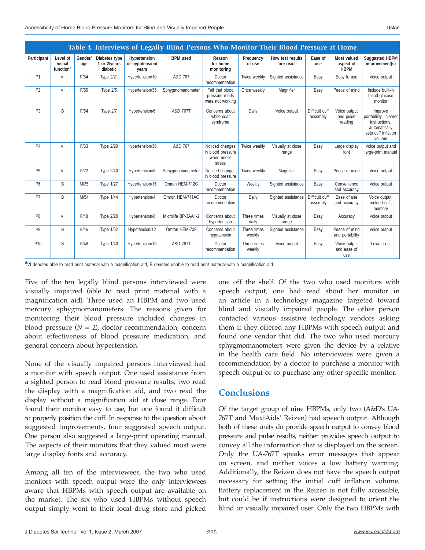| Table 4. Interviews of Legally Blind Persons Who Monitor Their Blood Pressure at Home |                                                          |                |                                           |                                          |                     |                                                              |                       |                              |                            |                                         |                                                                                                     |  |
|---------------------------------------------------------------------------------------|----------------------------------------------------------|----------------|-------------------------------------------|------------------------------------------|---------------------|--------------------------------------------------------------|-----------------------|------------------------------|----------------------------|-----------------------------------------|-----------------------------------------------------------------------------------------------------|--|
| Participant                                                                           | Level of<br>visual<br>function <sup><math>a</math></sup> | Gender/<br>age | Diabetes type<br>1 or 2/years<br>diabetic | Hypertension<br>or hypotension/<br>years | <b>BPM</b> used     | Reason<br>for home<br>monitoring                             | Frequency<br>of use   | How test results<br>are read | Ease of<br>use             | Most valued<br>aspect of<br><b>HBPM</b> | Suggested HBPM<br>improvement(s)                                                                    |  |
| P <sub>1</sub>                                                                        | VI                                                       | F/84           | <b>Type 2/21</b>                          | Hypertension/10                          | A&D 767             | Doctor<br>recommendation                                     | Twice weekly          | Sighted assistance           | Easy                       | Easy to use                             | Voice output                                                                                        |  |
| P <sub>2</sub>                                                                        | VI                                                       | F/56           | Type 2/5                                  | Hypertension/35                          | Sphygmomanometer    | Felt that blood<br>pressure meds<br>were not working         | Once weekly           | Magnifier                    | Easy                       | Peace of mind                           | Include built-in<br>blood glucose<br>monitor                                                        |  |
| P <sub>3</sub>                                                                        | B                                                        | F/54           | Type 2/7                                  | Hypertension/6                           | A&D 767T            | Concerns about<br>white coat<br>syndrome                     | Daily                 | Voice output                 | Difficult cuff<br>assembly | Voice output<br>and pulse<br>reading    | Improve<br>portablility, clearer<br>instructions.<br>automatically<br>sets cuff inflation<br>volume |  |
| P <sub>4</sub>                                                                        | VI                                                       | F/63           | <b>Type 2/20</b>                          | Hypertension/30                          | A&D 767             | Noticed changes<br>in blood pressure<br>when under<br>stress | Twice weekly          | Visually at close<br>range   | Easy                       | Large display<br>font                   | Voice output and<br>large-print manual                                                              |  |
| <b>P5</b>                                                                             | VI                                                       | F/72           | <b>Type 2/40</b>                          | Hypertension/8                           | Sphygmomanometer    | Noticed changes<br>in blood pressure                         | Twice weekly          | Magnifier                    | Easy                       | Peace of mind                           | Voice output                                                                                        |  |
| P <sub>6</sub>                                                                        | B                                                        | M/35           | <b>Type 1/27</b>                          | Hypertension/15                          | Omron HEM-712C      | Doctor<br>recommendation                                     | Weekly                | Sighted assistance           | Easy                       | Convenience<br>and accuracy             | Voice output                                                                                        |  |
| P7                                                                                    | B                                                        | M/54           | <b>Type 1/44</b>                          | Hypertension/4                           | Omron HEM-711AC     | Doctor<br>recommendation                                     | Daily                 | Sighted assistance           | Difficult cuff<br>assembly | Ease of use<br>and accuracy             | Voice output,<br>molded cuff,<br>memory                                                             |  |
| P <sub>8</sub>                                                                        | VI                                                       | F/48           | <b>Type 2/20</b>                          | Hypertension/8                           | Microlife BP-3AA1-2 | Concerns about<br>hypertension                               | Three times<br>daily  | Visually at close<br>range   | Easy                       | Accuracy                                | Voice output                                                                                        |  |
| P <sub>9</sub>                                                                        | B                                                        | F/46           | <b>Type 1/32</b>                          | Hypotension/12                           | Omron HEM-739       | Concerns about<br>hypotension                                | Three times<br>weekly | Sighted assistance           | Easy                       | Peace of mind<br>and portability        | Voice output                                                                                        |  |
| P10                                                                                   | B                                                        | F/46           | <b>Type 1/40</b>                          | Hypertension/15                          | A&D 767T            | Doctor<br>recommendation                                     | Three times<br>weekly | Voice output                 | Easy                       | Voice output<br>and ease of<br>use      | Lower cost                                                                                          |  |

<sup>a</sup>VI denotes able to read print material with a magnification aid, B denotes unable to read print material with a magnification aid.

Five of the ten legally blind persons interviewed were visually impaired (able to read print material with a magnification aid). Three used an HBPM and two used mercury sphygmomanometers. The reasons given for monitoring their blood pressure included changes in blood pressure  $(N = 2)$ , doctor recommendation, concern about effectiveness of blood pressure medication, and general concern about hypertension.

None of the visually impaired persons interviewed had a monitor with speech output. One used assistance from a sighted person to read blood pressure results, two read the display with a magnification aid, and two read the display without a magnification aid at close range. Four found their monitor easy to use, but one found it difficult to properly position the cuff. In response to the question about suggested improvements, four suggested speech output. One person also suggested a large-print operating manual. The aspects of their monitors that they valued most were large display fonts and accuracy.

Among all ten of the interviewees, the two who used monitors with speech output were the only interviewees aware that HBPMs with speech output are available on the market. The six who used HBPMs without speech output simply went to their local drug store and picked one off the shelf. Of the two who used monitors with speech output, one had read about her monitor in an article in a technology magazine targeted toward blind and visually impaired people. The other person contacted various assistive technology vendors asking them if they offered any HBPMs with speech output and found one vendor that did. The two who used mercury sphygmomanometers were given the device by a relative in the health care field. No interviewees were given a recommendation by a doctor to purchase a monitor with speech output or to purchase any other specific monitor.

# **Conclusions**

Of the target group of nine HBPMs, only two (A&D's UA-767T and MaxiAids' Reizen) had speech output. Although both of these units do provide speech output to convey blood pressure and pulse results, neither provides speech output to convey all the information that is displayed on the screen. Only the UA-767T speaks error messages that appear on screen, and neither voices a low battery warning. Additionally, the Reizen does not have the speech output necessary for setting the initial cuff inflation volume. Battery replacement in the Reizen is not fully accessible, but could be if instructions were designed to orient the blind or visually impaired user. Only the two HBPMs with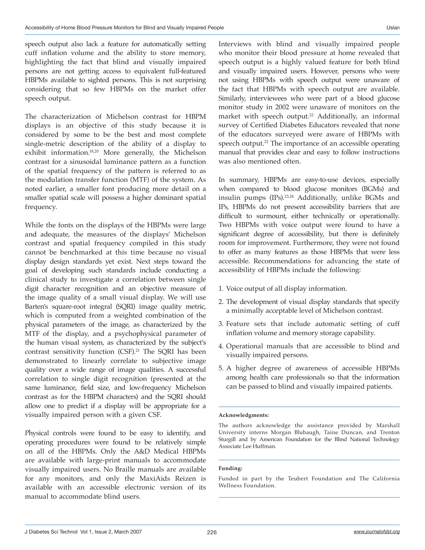speech output also lack a feature for automatically setting cuff inflation volume and the ability to store memory, highlighting the fact that blind and visually impaired persons are not getting access to equivalent full-featured HBPMs available to sighted persons. This is not surprising considering that so few HBPMs on the market offer speech output.

The characterization of Michelson contrast for HBPM displays is an objective of this study because it is considered by some to be the best and most complete single-metric description of the ability of a display to exhibit information.<sup>18,20</sup> More generally, the Michelson contrast for a sinusoidal luminance pattern as a function of the spatial frequency of the pattern is referred to as the modulation transfer function (MTF) of the system. As noted earlier, a smaller font producing more detail on a smaller spatial scale will possess a higher dominant spatial frequency.

While the fonts on the displays of the HBPMs were large and adequate, the measures of the displays' Michelson contrast and spatial frequency compiled in this study cannot be benchmarked at this time because no visual display design standards yet exist. Next steps toward the goal of developing such standards include conducting a clinical study to investigate a correlation between single digit character recognition and an objective measure of the image quality of a small visual display. We will use Barten's square-root integral (SQRI) image quality metric, which is computed from a weighted combination of the physical parameters of the image, as characterized by the MTF of the display, and a psychophysical parameter of the human visual system, as characterized by the subject's contrast sensitivity function (CSF).<sup>21</sup> The SQRI has been demonstrated to linearly correlate to subjective image quality over a wide range of image qualities. A successful correlation to single digit recognition (presented at the same luminance, field size, and low-frequency Michelson contrast as for the HBPM characters) and the SQRI should allow one to predict if a display will be appropriate for a visually impaired person with a given CSF.

Physical controls were found to be easy to identify, and operating procedures were found to be relatively simple on all of the HBPMs. Only the A&D Medical HBPMs are available with large-print manuals to accommodate visually impaired users. No Braille manuals are available for any monitors, and only the MaxiAids Reizen is available with an accessible electronic version of its manual to accommodate blind users.

Interviews with blind and visually impaired people who monitor their blood pressure at home revealed that speech output is a highly valued feature for both blind and visually impaired users. However, persons who were not using HBPMs with speech output were unaware of the fact that HBPMs with speech output are available. Similarly, interviewees who were part of a blood glucose monitor study in 2002 were unaware of monitors on the market with speech output.<sup>22</sup> Additionally, an informal survey of Certified Diabetes Educators revealed that none of the educators surveyed were aware of HBPMs with speech output.<sup>22</sup> The importance of an accessible operating manual that provides clear and easy to follow instructions was also mentioned often.

In summary, HBPMs are easy-to-use devices, especially when compared to blood glucose monitors (BGMs) and insulin pumps (IPs).<sup>23,24</sup> Additionally, unlike BGMs and IPs, HBPMs do not present accessibility barriers that are difficult to surmount, either technically or operationally. Two HBPMs with voice output were found to have a significant degree of accessibility, but there is definitely room for improvement. Furthermore, they were not found to offer as many features as those HBPMs that were less accessible. Recommendations for advancing the state of accessibility of HBPMs include the following:

- 1. Voice output of all display information.
- 2. The development of visual display standards that specify a minimally acceptable level of Michelson contrast.
- 3. Feature sets that include automatic setting of cuff inflation volume and memory storage capability.
- 4. Operational manuals that are accessible to blind and visually impaired persons.
- 5. A higher degree of awareness of accessible HBPMs among health care professionals so that the information can be passed to blind and visually impaired patients.

#### **Acknowledgments:**

The authors acknowledge the assistance provided by Marshall University interns Morgan Blubaugh, Taine Duncan, and Trenton Sturgill and by American Foundation for the Blind National Technology Associate Lee Huffman.

#### **Funding:**

Funded in part by the Teubert Foundation and The California Wellness Foundation.